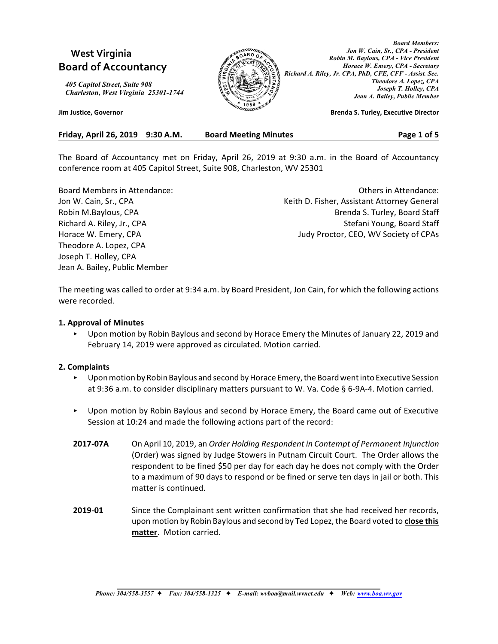# **West Virginia Board of Accountancy**

*405 Capitol Street, Suite 908 Charleston, West Virginia 25301-1744*



*Board Members: Jon W. Cain, Sr., CPA - President Robin M. Baylous, CPA - Vice President Horace W. Emery, CPA - Secretary Richard A. Riley, Jr. CPA, PhD, CFE, CFF - Assist. Sec. Theodore A. Lopez, CPA Joseph T. Holley, CPA Jean A. Bailey, Public Member*

**Jim Justice, Governor Brenda S. Turley, Executive Director**

# **Friday, April 26, 2019 9:30 A.M. Board Meeting Minutes Page 1 of 5**

The Board of Accountancy met on Friday, April 26, 2019 at 9:30 a.m. in the Board of Accountancy conference room at 405 Capitol Street, Suite 908, Charleston, WV 25301

Theodore A. Lopez, CPA Joseph T. Holley, CPA Jean A. Bailey, Public Member

Board Members in Attendance:  $\blacksquare$ Jon W. Cain, Sr., CPA The Communisties of the Keith D. Fisher, Assistant Attorney General Robin M.Baylous, CPA Brenda S. Turley, Board Staff Richard A. Riley, Jr., CPA Stefani Young, Board Staff Horace W. Emery, CPA Judy Proctor, CEO, WV Society of CPAs

The meeting was called to order at 9:34 a.m. by Board President, Jon Cain, for which the following actions were recorded.

# **1. Approval of Minutes**

Upon motion by Robin Baylous and second by Horace Emery the Minutes of January 22, 2019 and February 14, 2019 were approved as circulated. Motion carried.

# **2. Complaints**

- < Upon motion by Robin Baylous and second by Horace Emery, the Board went into Executive Session at 9:36 a.m. to consider disciplinary matters pursuant to W. Va. Code § 6-9A-4. Motion carried.
- < Upon motion by Robin Baylous and second by Horace Emery, the Board came out of Executive Session at 10:24 and made the following actions part of the record:
- **2017-07A** On April 10, 2019, an *Order Holding Respondent in Contempt of Permanent Injunction* (Order) was signed by Judge Stowers in Putnam Circuit Court. The Order allows the respondent to be fined \$50 per day for each day he does not comply with the Order to a maximum of 90 days to respond or be fined or serve ten days in jail or both. This matter is continued.
- **2019-01** Since the Complainant sent written confirmation that she had received her records, upon motion by Robin Baylous and second by Ted Lopez, the Board voted to **close this matter**. Motion carried.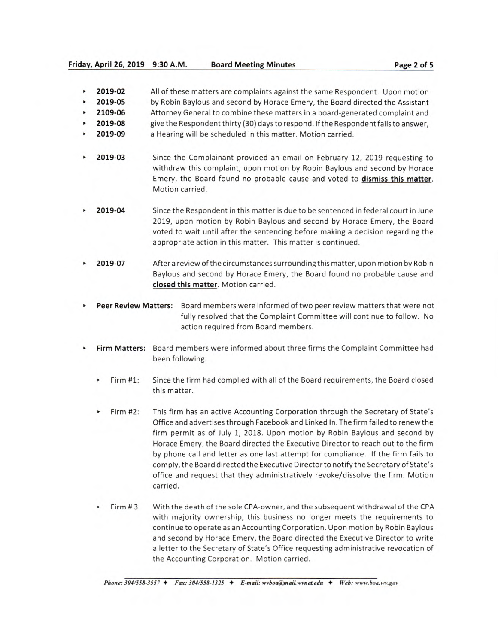- 2019-02 All of these matters are complaints against the same Respondent. Upon motion ٠
- 2019-05 by Robin Baylous and second by Horace Emery, the Board directed the Assistant
- 2109-06 Attorney General to combine these matters in a board-generated complaint and
- 2019-08 give the Respondent thirty (30) days to respond. If the Respondent fails to answer,
- 2019-09 a Hearing will be scheduled in this matter. Motion carried.
- 2019-03 Since the Complainant provided an email on February 12, 2019 requesting to withdraw this complaint, upon motion by Robin Baylous and second by Horace Emery, the Board found no probable cause and voted to dismiss this matter. Motion carried.
- 2019-04 Since the Respondent in this matter is due to be sentenced in federal court in June 2019, upon motion by Robin Baylous and second by Horace Emery, the Board voted to wait until after the sentencing before making a decision regarding the appropriate action in this matter. This matter is continued.
- 2019-07 After a review of the circumstances surrounding this matter, upon motion by Robin ь Baylous and second by Horace Emery, the Board found no probable cause and closed this matter. Motion carried.
- Peer Review Matters: Board members were informed of two peer review matters that were not ▶ fully resolved that the Complaint Committee will continue to follow. No action required from Board members.
- Firm Matters: Board members were informed about three firms the Complaint Committee had been following.
	- $Firm #1:$ Since the firm had complied with all of the Board requirements, the Board closed this matter.
	- Firm  $#2$ : This firm has an active Accounting Corporation through the Secretary of State's Office and advertises through Facebook and Linked In. The firm failed to renew the firm permit as of July 1, 2018. Upon motion by Robin Baylous and second by Horace Emery, the Board directed the Executive Director to reach out to the firm by phone call and letter as one last attempt for compliance. If the firm fails to comply, the Board directed the Executive Director to notify the Secretary of State's office and request that they administratively revoke/dissolve the firm. Motion carried.
	- $Firm # 3$ With the death of the sole CPA-owner, and the subsequent withdrawal of the CPA with majority ownership, this business no longer meets the requirements to continue to operate as an Accounting Corporation. Upon motion by Robin Baylous and second by Horace Emery, the Board directed the Executive Director to write a letter to the Secretary of State's Office requesting administrative revocation of the Accounting Corporation. Motion carried.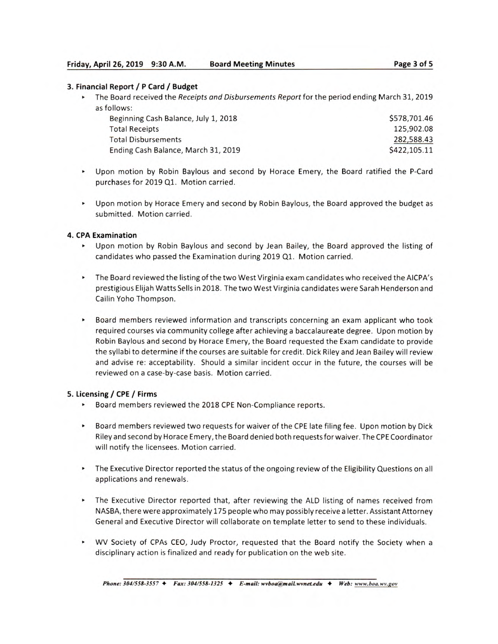### 3. Financial Report / P Card / Budget

The Board received the Receipts and Disbursements Report for the period ending March 31, 2019 as follows:

| Beginning Cash Balance, July 1, 2018 | \$578,701.46 |
|--------------------------------------|--------------|
| <b>Total Receipts</b>                | 125,902.08   |
| <b>Total Disbursements</b>           | 282,588.43   |
| Ending Cash Balance, March 31, 2019  | \$422,105.11 |

- ► Upon motion by Robin Baylous and second by Horace Emery, the Board ratified the P-Card purchases for 2019 Q1. Motion carried.
- ► Upon motion by Horace Emery and second by Robin Baylous, the Board approved the budget as submitted. Motion carried.

#### **4. CPA Examination**

- ▶ Upon motion by Robin Baylous and second by Jean Bailey, the Board approved the listing of candidates who passed the Examination during 2019 Q1. Motion carried.
- The Board reviewed the listing of the two West Virginia exam candidates who received the AICPA's prestigious Elijah Watts Sells in 2018. The two West Virginia candidates were Sarah Henderson and Cailin Yoho Thompson.
- Board members reviewed information and transcripts concerning an exam applicant who took required courses via community college after achieving a baccalaureate degree. Upon motion by Robin Baylous and second by Horace Emery, the Board requested the Exam candidate to provide the syllabi to determine if the courses are suitable for credit. Dick Riley and Jean Bailey will review and advise re: acceptability. Should a similar incident occur in the future, the courses will be reviewed on a case-by-case basis. Motion carried.

## 5. Licensing / CPE / Firms

- > Board members reviewed the 2018 CPE Non-Compliance reports.
- > Board members reviewed two requests for waiver of the CPE late filing fee. Upon motion by Dick Riley and second by Horace Emery, the Board denied both requests for waiver. The CPE Coordinator will notify the licensees. Motion carried.
- The Executive Director reported the status of the ongoing review of the Eligibility Questions on all applications and renewals.
- The Executive Director reported that, after reviewing the ALD listing of names received from NASBA, there were approximately 175 people who may possibly receive a letter. Assistant Attorney General and Executive Director will collaborate on template letter to send to these individuals.
- VV Society of CPAs CEO, Judy Proctor, requested that the Board notify the Society when a disciplinary action is finalized and ready for publication on the web site.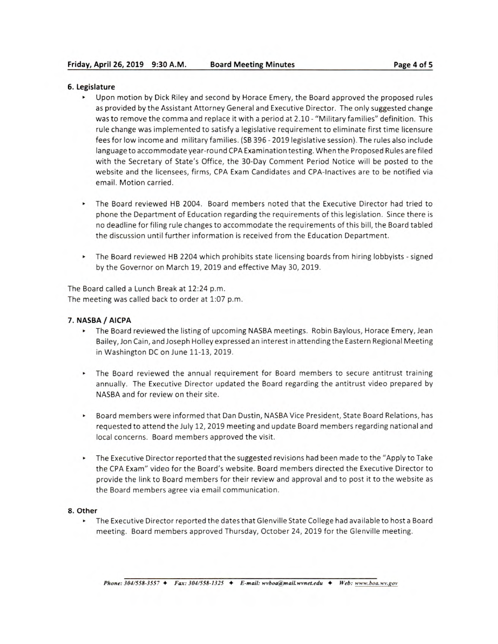#### 6. Legislature

- > Upon motion by Dick Riley and second by Horace Emery, the Board approved the proposed rules as provided by the Assistant Attorney General and Executive Director. The only suggested change was to remove the comma and replace it with a period at 2.10 - "Military families" definition. This rule change was implemented to satisfy a legislative requirement to eliminate first time licensure fees for low income and military families. (SB 396 - 2019 legislative session). The rules also include language to accommodate year-round CPA Examination testing. When the Proposed Rules are filed with the Secretary of State's Office, the 30-Day Comment Period Notice will be posted to the website and the licensees, firms, CPA Exam Candidates and CPA-Inactives are to be notified via email. Motion carried.
- The Board reviewed HB 2004. Board members noted that the Executive Director had tried to phone the Department of Education regarding the requirements of this legislation. Since there is no deadline for filing rule changes to accommodate the requirements of this bill, the Board tabled the discussion until further information is received from the Education Department.
- The Board reviewed HB 2204 which prohibits state licensing boards from hiring lobbyists signed by the Governor on March 19, 2019 and effective May 30, 2019.

The Board called a Lunch Break at 12:24 p.m. The meeting was called back to order at 1:07 p.m.

#### 7. NASBA / AICPA

- The Board reviewed the listing of upcoming NASBA meetings. Robin Baylous, Horace Emery, Jean Bailey, Jon Cain, and Joseph Holley expressed an interest in attending the Eastern Regional Meeting in Washington DC on June 11-13, 2019.
- The Board reviewed the annual requirement for Board members to secure antitrust training annually. The Executive Director updated the Board regarding the antitrust video prepared by NASBA and for review on their site.
- Board members were informed that Dan Dustin, NASBA Vice President, State Board Relations, has requested to attend the July 12, 2019 meeting and update Board members regarding national and local concerns. Board members approved the visit.
- The Executive Director reported that the suggested revisions had been made to the "Apply to Take" the CPA Exam" video for the Board's website. Board members directed the Executive Director to provide the link to Board members for their review and approval and to post it to the website as the Board members agree via email communication.

#### 8. Other

The Executive Director reported the dates that Glenville State College had available to host a Board meeting. Board members approved Thursday, October 24, 2019 for the Glenville meeting.